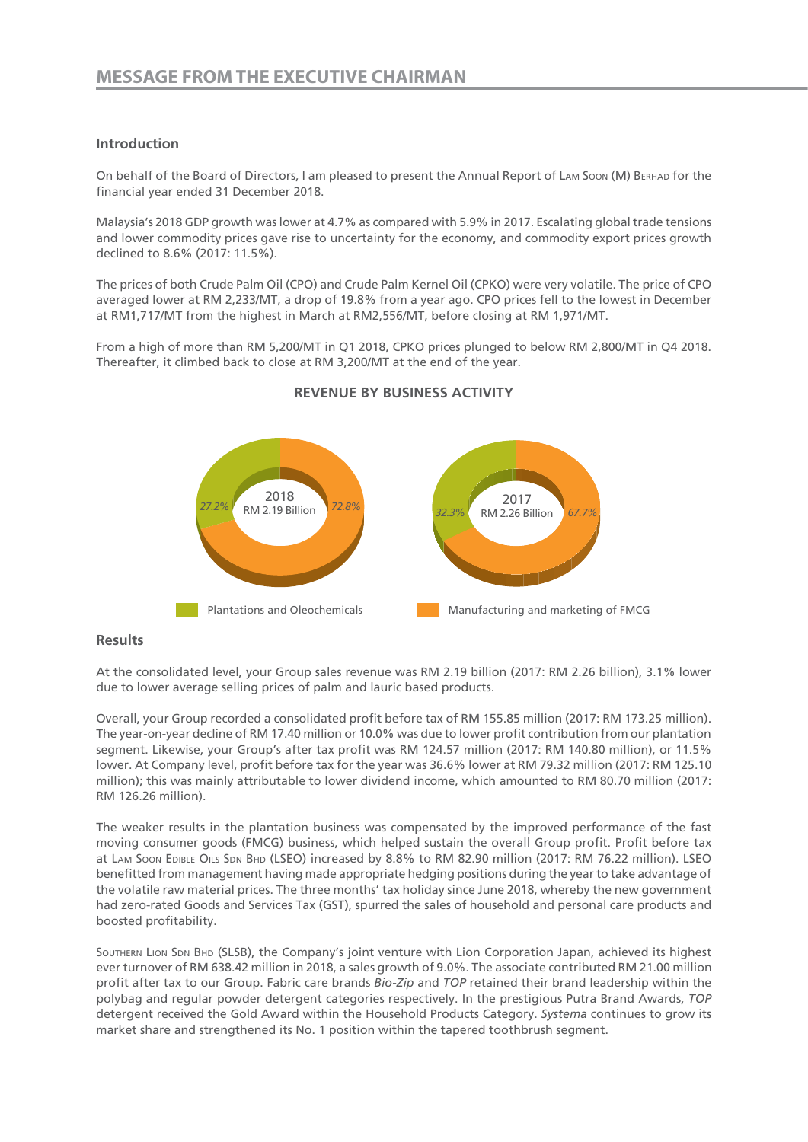# **Introduction**

On behalf of the Board of Directors, I am pleased to present the Annual Report of Lam Soon (M) Berhad for the financial year ended 31 December 2018.

Malaysia's 2018 GDP growth was lower at 4.7% as compared with 5.9% in 2017. Escalating global trade tensions and lower commodity prices gave rise to uncertainty for the economy, and commodity export prices growth declined to 8.6% (2017: 11.5%).

The prices of both Crude Palm Oil (CPO) and Crude Palm Kernel Oil (CPKO) were very volatile. The price of CPO averaged lower at RM 2,233/MT, a drop of 19.8% from a year ago. CPO prices fell to the lowest in December at RM1,717/MT from the highest in March at RM2,556/MT, before closing at RM 1,971/MT.

From a high of more than RM 5,200/MT in Q1 2018, CPKO prices plunged to below RM 2,800/MT in Q4 2018. Thereafter, it climbed back to close at RM 3,200/MT at the end of the year.



# **REVENUE BY BUSINESS ACTIVITY**

# **Results**

At the consolidated level, your Group sales revenue was RM 2.19 billion (2017: RM 2.26 billion), 3.1% lower due to lower average selling prices of palm and lauric based products.

Overall, your Group recorded a consolidated profit before tax of RM 155.85 million (2017: RM 173.25 million). The year-on-year decline of RM 17.40 million or 10.0% was due to lower profit contribution from our plantation segment. Likewise, your Group's after tax profit was RM 124.57 million (2017: RM 140.80 million), or 11.5% lower. At Company level, profit before tax for the year was 36.6% lower at RM 79.32 million (2017: RM 125.10 million); this was mainly attributable to lower dividend income, which amounted to RM 80.70 million (2017: RM 126.26 million).

The weaker results in the plantation business was compensated by the improved performance of the fast moving consumer goods (FMCG) business, which helped sustain the overall Group profit. Profit before tax at LAM Soon EDIBLE OILS SDN BHD (LSEO) increased by 8.8% to RM 82.90 million (2017: RM 76.22 million). LSEO benefitted from management having made appropriate hedging positions during the year to take advantage of the volatile raw material prices. The three months' tax holiday since June 2018, whereby the new government had zero-rated Goods and Services Tax (GST), spurred the sales of household and personal care products and boosted profitability.

Southern Lion Sdn Bhd (SLSB), the Company's joint venture with Lion Corporation Japan, achieved its highest ever turnover of RM 638.42 million in 2018, a sales growth of 9.0%. The associate contributed RM 21.00 million profit after tax to our Group. Fabric care brands *Bio-Zip* and *TOP* retained their brand leadership within the polybag and regular powder detergent categories respectively. In the prestigious Putra Brand Awards, *TOP*  detergent received the Gold Award within the Household Products Category. *Systema* continues to grow its market share and strengthened its No. 1 position within the tapered toothbrush segment.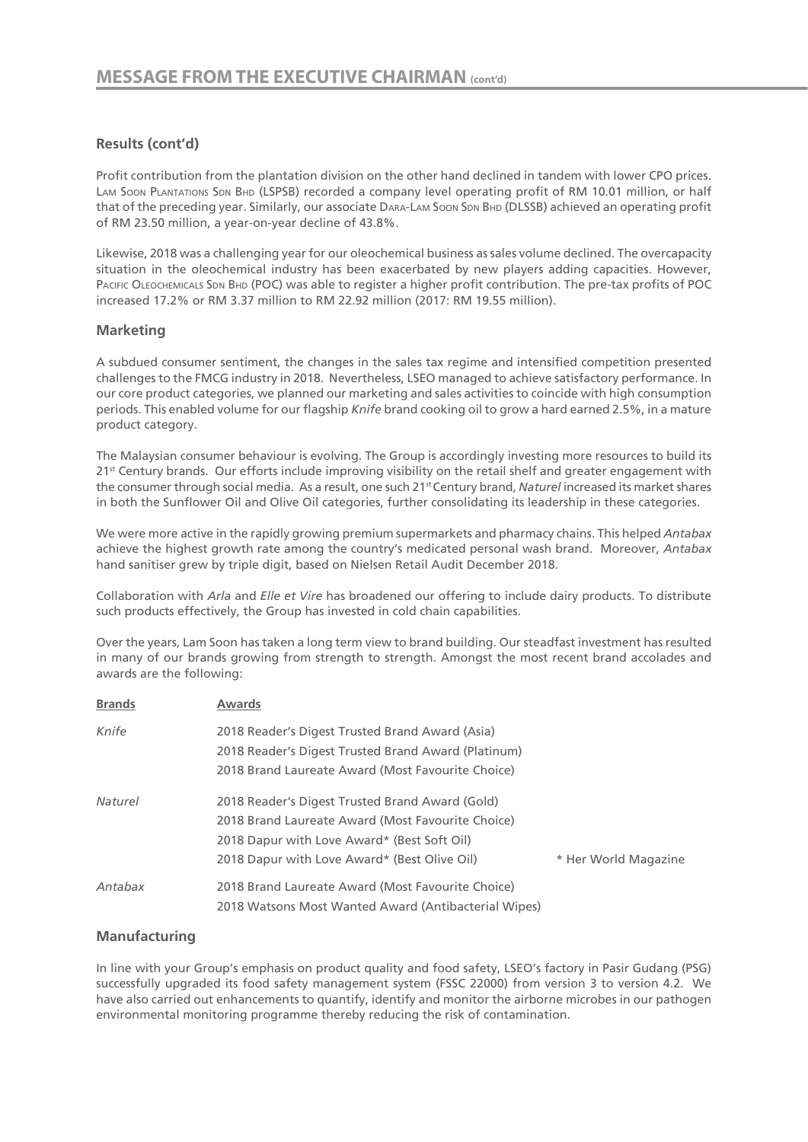# **Results (cont'd)**

Profit contribution from the plantation division on the other hand declined in tandem with lower CPO prices. LAM SOON PLANTATIONS SDN BHD (LSPSB) recorded a company level operating profit of RM 10.01 million, or half that of the preceding year. Similarly, our associate DARA-LAM Soon SDN BHD (DLSSB) achieved an operating profit of RM 23.50 million, a year-on-year decline of 43.8%.

Likewise, 2018 was a challenging year for our oleochemical business as sales volume declined. The overcapacity situation in the oleochemical industry has been exacerbated by new players adding capacities. However, PACIFIC OLEOCHEMICALS SDN BHD (POC) was able to register a higher profit contribution. The pre-tax profits of POC increased 17.2% or RM 3.37 million to RM 22.92 million (2017: RM 19.55 million).

# **Marketing**

A subdued consumer sentiment, the changes in the sales tax regime and intensified competition presented challenges to the FMCG industry in 2018. Nevertheless, LSEO managed to achieve satisfactory performance. In our core product categories, we planned our marketing and sales activities to coincide with high consumption periods. This enabled volume for our flagship *Knife* brand cooking oil to grow a hard earned 2.5%, in a mature product category.

The Malaysian consumer behaviour is evolving. The Group is accordingly investing more resources to build its 21<sup>st</sup> Century brands. Our efforts include improving visibility on the retail shelf and greater engagement with the consumer through social media. As a result, one such 21st Century brand, *Naturel* increased its market shares in both the Sunflower Oil and Olive Oil categories, further consolidating its leadership in these categories.

We were more active in the rapidly growing premium supermarkets and pharmacy chains. This helped *Antabax*  achieve the highest growth rate among the country's medicated personal wash brand. Moreover, *Antabax*  hand sanitiser grew by triple digit, based on Nielsen Retail Audit December 2018.

Collaboration with *Arla* and *Elle et Vire* has broadened our offering to include dairy products. To distribute such products effectively, the Group has invested in cold chain capabilities.

Over the years, Lam Soon has taken a long term view to brand building. Our steadfast investment has resulted in many of our brands growing from strength to strength. Amongst the most recent brand accolades and awards are the following:

| <b>Brands</b>  | <b>Awards</b>                                        |                      |
|----------------|------------------------------------------------------|----------------------|
| Knife          | 2018 Reader's Digest Trusted Brand Award (Asia)      |                      |
|                | 2018 Reader's Digest Trusted Brand Award (Platinum)  |                      |
|                | 2018 Brand Laureate Award (Most Favourite Choice)    |                      |
| <b>Naturel</b> | 2018 Reader's Digest Trusted Brand Award (Gold)      |                      |
|                | 2018 Brand Laureate Award (Most Favourite Choice)    |                      |
|                | 2018 Dapur with Love Award* (Best Soft Oil)          |                      |
|                | 2018 Dapur with Love Award* (Best Olive Oil)         | * Her World Magazine |
| Antabax        | 2018 Brand Laureate Award (Most Favourite Choice)    |                      |
|                | 2018 Watsons Most Wanted Award (Antibacterial Wipes) |                      |

# **Manufacturing**

In line with your Group's emphasis on product quality and food safety, LSEO's factory in Pasir Gudang (PSG) successfully upgraded its food safety management system (FSSC 22000) from version 3 to version 4.2. We have also carried out enhancements to quantify, identify and monitor the airborne microbes in our pathogen environmental monitoring programme thereby reducing the risk of contamination.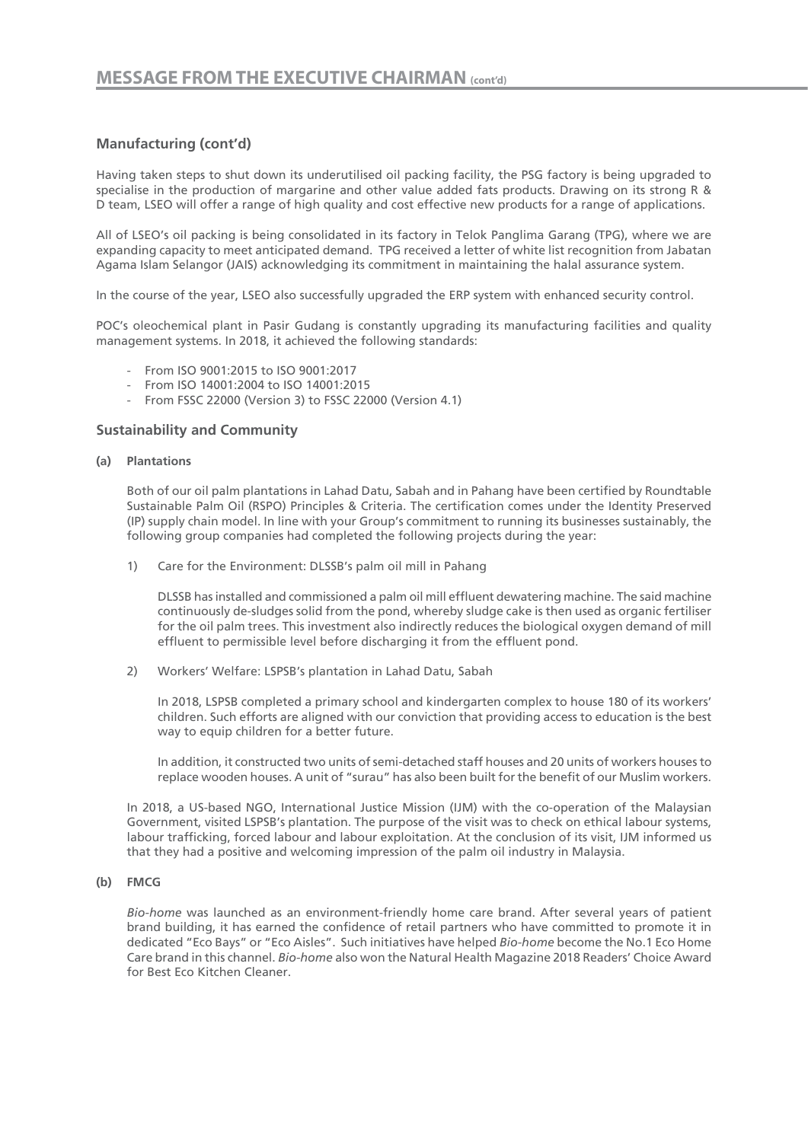# **Manufacturing (cont'd)**

Having taken steps to shut down its underutilised oil packing facility, the PSG factory is being upgraded to specialise in the production of margarine and other value added fats products. Drawing on its strong R & D team, LSEO will offer a range of high quality and cost effective new products for a range of applications.

All of LSEO's oil packing is being consolidated in its factory in Telok Panglima Garang (TPG), where we are expanding capacity to meet anticipated demand. TPG received a letter of white list recognition from Jabatan Agama Islam Selangor (JAIS) acknowledging its commitment in maintaining the halal assurance system.

In the course of the year, LSEO also successfully upgraded the ERP system with enhanced security control.

POC's oleochemical plant in Pasir Gudang is constantly upgrading its manufacturing facilities and quality management systems. In 2018, it achieved the following standards:

- From ISO 9001:2015 to ISO 9001:2017
- From ISO 14001:2004 to ISO 14001:2015
- From FSSC 22000 (Version 3) to FSSC 22000 (Version 4.1)

### **Sustainability and Community**

#### **(a) Plantations**

Both of our oil palm plantations in Lahad Datu, Sabah and in Pahang have been certified by Roundtable Sustainable Palm Oil (RSPO) Principles & Criteria. The certification comes under the Identity Preserved (IP) supply chain model. In line with your Group's commitment to running its businesses sustainably, the following group companies had completed the following projects during the year:

1) Care for the Environment: DLSSB's palm oil mill in Pahang

DLSSB has installed and commissioned a palm oil mill effluent dewatering machine. The said machine continuously de-sludges solid from the pond, whereby sludge cake is then used as organic fertiliser for the oil palm trees. This investment also indirectly reduces the biological oxygen demand of mill effluent to permissible level before discharging it from the effluent pond.

2) Workers' Welfare: LSPSB's plantation in Lahad Datu, Sabah

In 2018, LSPSB completed a primary school and kindergarten complex to house 180 of its workers' children. Such efforts are aligned with our conviction that providing access to education is the best way to equip children for a better future.

In addition, it constructed two units of semi-detached staff houses and 20 units of workers houses to replace wooden houses. A unit of "surau" has also been built for the benefit of our Muslim workers.

In 2018, a US-based NGO, International Justice Mission (IJM) with the co-operation of the Malaysian Government, visited LSPSB's plantation. The purpose of the visit was to check on ethical labour systems, labour trafficking, forced labour and labour exploitation. At the conclusion of its visit, IJM informed us that they had a positive and welcoming impression of the palm oil industry in Malaysia.

#### **(b) FMCG**

*Bio-home* was launched as an environment-friendly home care brand. After several years of patient brand building, it has earned the confidence of retail partners who have committed to promote it in dedicated "Eco Bays" or "Eco Aisles". Such initiatives have helped *Bio-home* become the No.1 Eco Home Care brand in this channel. *Bio-home* also won the Natural Health Magazine 2018 Readers' Choice Award for Best Eco Kitchen Cleaner.